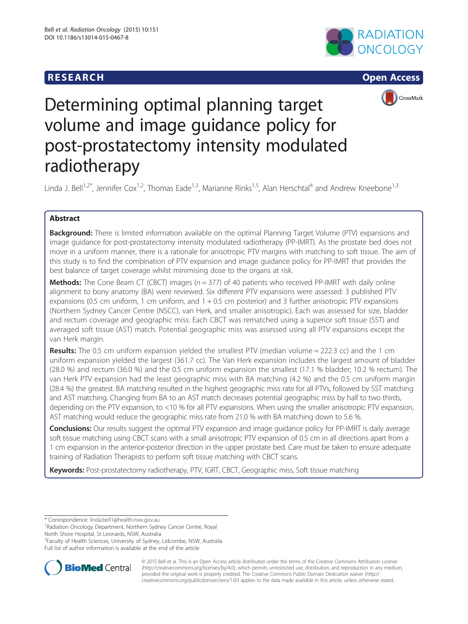# **RESEARCH RESEARCH CONSUMING ACCESS**







# Determining optimal planning target volume and image guidance policy for post-prostatectomy intensity modulated radiotherapy

Linda J. Bell<sup>1,2\*</sup>, Jennifer Cox<sup>1,2</sup>, Thomas Eade<sup>1,3</sup>, Marianne Rinks<sup>1,5</sup>, Alan Herschtal<sup>4</sup> and Andrew Kneebone<sup>1,3</sup>

# Abstract

**Background:** There is limited information available on the optimal Planning Target Volume (PTV) expansions and image guidance for post-prostatectomy intensity modulated radiotherapy (PP-IMRT). As the prostate bed does not move in a uniform manner, there is a rationale for anisotropic PTV margins with matching to soft tissue. The aim of this study is to find the combination of PTV expansion and image guidance policy for PP-IMRT that provides the best balance of target coverage whilst minimising dose to the organs at risk.

**Methods:** The Cone Beam CT (CBCT) images ( $n = 377$ ) of 40 patients who received PP-IMRT with daily online alignment to bony anatomy (BA) were reviewed. Six different PTV expansions were assessed: 3 published PTV expansions (0.5 cm uniform, 1 cm uniform, and 1 + 0.5 cm posterior) and 3 further anisotropic PTV expansions (Northern Sydney Cancer Centre (NSCC), van Herk, and smaller anisotropic). Each was assessed for size, bladder and rectum coverage and geographic miss. Each CBCT was rematched using a superior soft tissue (SST) and averaged soft tissue (AST) match. Potential geographic miss was assessed using all PTV expansions except the van Herk margin.

**Results:** The 0.5 cm uniform expansion yielded the smallest PTV (median volume = 222.3 cc) and the 1 cm uniform expansion yielded the largest (361.7 cc). The Van Herk expansion includes the largest amount of bladder (28.0 %) and rectum (36.0 %) and the 0.5 cm uniform expansion the smallest (17.1 % bladder; 10.2 % rectum). The van Herk PTV expansion had the least geographic miss with BA matching (4.2 %) and the 0.5 cm uniform margin (28.4 %) the greatest. BA matching resulted in the highest geographic miss rate for all PTVs, followed by SST matching and AST matching. Changing from BA to an AST match decreases potential geographic miss by half to two thirds, depending on the PTV expansion, to <10 % for all PTV expansions. When using the smaller anisotropic PTV expansion, AST matching would reduce the geographic miss rate from 21.0 % with BA matching down to 5.6 %.

Conclusions: Our results suggest the optimal PTV expansion and image guidance policy for PP-IMRT is daily average soft tissue matching using CBCT scans with a small anisotropic PTV expansion of 0.5 cm in all directions apart from a 1 cm expansion in the anterior-posterior direction in the upper prostate bed. Care must be taken to ensure adequate training of Radiation Therapists to perform soft tissue matching with CBCT scans.

Keywords: Post-prostatectomy radiotherapy, PTV, IGRT, CBCT, Geographic miss, Soft tissue matching

\* Correspondence: [linda.bell1@health.nsw.gov.au](mailto:linda.bell1@health.nsw.gov.au) <sup>1</sup>

Radiation Oncology Department, Northern Sydney Cancer Centre, Royal North Shore Hospital, St Leonards, NSW, Australia

<sup>2</sup> Faculty of Health Sciences, University of Sydney, Lidcombe, NSW, Australia Full list of author information is available at the end of the article



© 2015 Bell et al. This is an Open Access article distributed under the terms of the Creative Commons Attribution License [\(http://creativecommons.org/licenses/by/4.0\)](http://creativecommons.org/licenses/by/4.0), which permits unrestricted use, distribution, and reproduction in any medium, provided the original work is properly credited. The Creative Commons Public Domain Dedication waiver [\(http://](http://creativecommons.org/publicdomain/zero/1.0/) [creativecommons.org/publicdomain/zero/1.0/\)](http://creativecommons.org/publicdomain/zero/1.0/) applies to the data made available in this article, unless otherwise stated.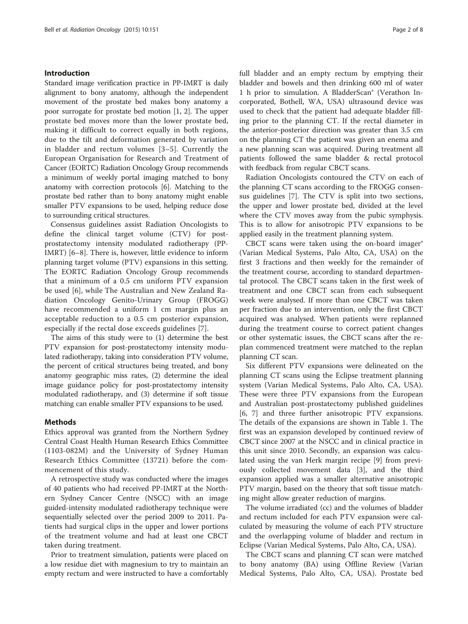#### Introduction

Standard image verification practice in PP-IMRT is daily alignment to bony anatomy, although the independent movement of the prostate bed makes bony anatomy a poor surrogate for prostate bed motion [[1, 2](#page-7-0)]. The upper prostate bed moves more than the lower prostate bed, making it difficult to correct equally in both regions, due to the tilt and deformation generated by variation in bladder and rectum volumes [\[3](#page-7-0)–[5](#page-7-0)]. Currently the European Organisation for Research and Treatment of Cancer (EORTC) Radiation Oncology Group recommends a minimum of weekly portal imaging matched to bony anatomy with correction protocols [\[6\]](#page-7-0). Matching to the prostate bed rather than to bony anatomy might enable smaller PTV expansions to be used, helping reduce dose to surrounding critical structures.

Consensus guidelines assist Radiation Oncologists to define the clinical target volume (CTV) for postprostatectomy intensity modulated radiotherapy (PP-IMRT) [[6](#page-7-0)–[8\]](#page-7-0). There is, however, little evidence to inform planning target volume (PTV) expansions in this setting. The EORTC Radiation Oncology Group recommends that a minimum of a 0.5 cm uniform PTV expansion be used [[6](#page-7-0)], while The Australian and New Zealand Radiation Oncology Genito-Urinary Group (FROGG) have recommended a uniform 1 cm margin plus an acceptable reduction to a 0.5 cm posterior expansion, especially if the rectal dose exceeds guidelines [\[7](#page-7-0)].

The aims of this study were to (1) determine the best PTV expansion for post-prostatectomy intensity modulated radiotherapy, taking into consideration PTV volume, the percent of critical structures being treated, and bony anatomy geographic miss rates, (2) determine the ideal image guidance policy for post-prostatectomy intensity modulated radiotherapy, and (3) determine if soft tissue matching can enable smaller PTV expansions to be used.

## Methods

Ethics approval was granted from the Northern Sydney Central Coast Health Human Research Ethics Committee (1103-082M) and the University of Sydney Human Research Ethics Committee (13721) before the commencement of this study.

A retrospective study was conducted where the images of 40 patients who had received PP-IMRT at the Northern Sydney Cancer Centre (NSCC) with an image guided-intensity modulated radiotherapy technique were sequentially selected over the period 2009 to 2011. Patients had surgical clips in the upper and lower portions of the treatment volume and had at least one CBCT taken during treatment.

Prior to treatment simulation, patients were placed on a low residue diet with magnesium to try to maintain an empty rectum and were instructed to have a comfortably full bladder and an empty rectum by emptying their bladder and bowels and then drinking 600 ml of water 1 h prior to simulation. A BladderScan® (Verathon Incorporated, Bothell, WA, USA) ultrasound device was used to check that the patient had adequate bladder filling prior to the planning CT. If the rectal diameter in the anterior-posterior direction was greater than 3.5 cm on the planning CT the patient was given an enema and a new planning scan was acquired. During treatment all patients followed the same bladder & rectal protocol with feedback from regular CBCT scans.

Radiation Oncologists contoured the CTV on each of the planning CT scans according to the FROGG consensus guidelines [[7](#page-7-0)]. The CTV is split into two sections, the upper and lower prostate bed, divided at the level where the CTV moves away from the pubic symphysis. This is to allow for anisotropic PTV expansions to be applied easily in the treatment planning system.

CBCT scans were taken using the on-board imager® (Varian Medical Systems, Palo Alto, CA, USA) on the first 3 fractions and then weekly for the remainder of the treatment course, according to standard departmental protocol. The CBCT scans taken in the first week of treatment and one CBCT scan from each subsequent week were analysed. If more than one CBCT was taken per fraction due to an intervention, only the first CBCT acquired was analysed. When patients were replanned during the treatment course to correct patient changes or other systematic issues, the CBCT scans after the replan commenced treatment were matched to the replan planning CT scan.

Six different PTV expansions were delineated on the planning CT scans using the Eclipse treatment planning system (Varian Medical Systems, Palo Alto, CA, USA). These were three PTV expansions from the European and Australian post-prostatectomy published guidelines [[6, 7](#page-7-0)] and three further anisotropic PTV expansions. The details of the expansions are shown in Table [1.](#page-2-0) The first was an expansion developed by continued review of CBCT since 2007 at the NSCC and in clinical practice in this unit since 2010. Secondly, an expansion was calculated using the van Herk margin recipe [[9\]](#page-7-0) from previously collected movement data [\[3\]](#page-7-0), and the third expansion applied was a smaller alternative anisotropic PTV margin, based on the theory that soft tissue matching might allow greater reduction of margins.

The volume irradiated (cc) and the volumes of bladder and rectum included for each PTV expansion were calculated by measuring the volume of each PTV structure and the overlapping volume of bladder and rectum in Eclipse (Varian Medical Systems, Palo Alto, CA, USA).

The CBCT scans and planning CT scan were matched to bony anatomy (BA) using Offline Review (Varian Medical Systems, Palo Alto, CA, USA). Prostate bed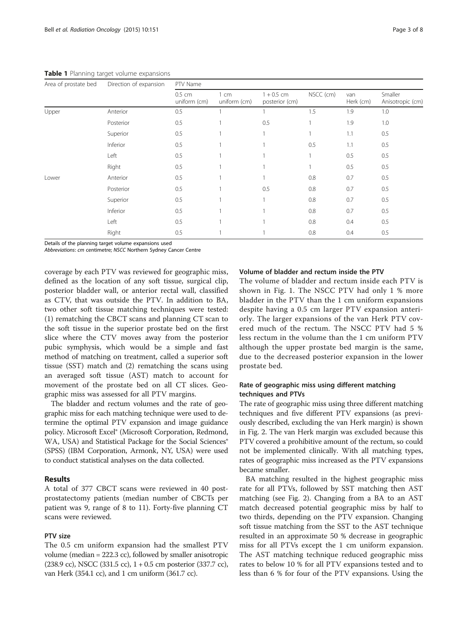<span id="page-2-0"></span>Table 1 Planning target volume expansions

| Area of prostate bed | Direction of expansion | PTV Name                 |                      |                                |           |                  |                             |
|----------------------|------------------------|--------------------------|----------------------|--------------------------------|-----------|------------------|-----------------------------|
|                      |                        | $0.5$ cm<br>uniform (cm) | 1 cm<br>uniform (cm) | $1 + 0.5$ cm<br>posterior (cm) | NSCC (cm) | van<br>Herk (cm) | Smaller<br>Anisotropic (cm) |
| Upper                | Anterior               | 0.5                      |                      |                                | 1.5       | 1.9              | 1.0                         |
|                      | Posterior              | 0.5                      |                      | 0.5                            |           | 1.9              | 1.0                         |
|                      | Superior               | 0.5                      |                      |                                |           | 1.1              | 0.5                         |
|                      | Inferior               | 0.5                      |                      |                                | 0.5       | 1.1              | 0.5                         |
|                      | Left                   | 0.5                      |                      |                                |           | 0.5              | 0.5                         |
|                      | Right                  | 0.5                      |                      |                                |           | 0.5              | 0.5                         |
| Lower                | Anterior               | 0.5                      |                      |                                | 0.8       | 0.7              | 0.5                         |
|                      | Posterior              | 0.5                      |                      | 0.5                            | 0.8       | 0.7              | 0.5                         |
|                      | Superior               | 0.5                      |                      |                                | 0.8       | 0.7              | 0.5                         |
|                      | Inferior               | 0.5                      |                      |                                | 0.8       | 0.7              | 0.5                         |
|                      | Left                   | 0.5                      |                      |                                | 0.8       | 0.4              | 0.5                         |
|                      | Right                  | 0.5                      |                      |                                | 0.8       | 0.4              | 0.5                         |

Details of the planning target volume expansions used

Abbreviations: cm centimetre; NSCC Northern Sydney Cancer Centre

coverage by each PTV was reviewed for geographic miss, defined as the location of any soft tissue, surgical clip, posterior bladder wall, or anterior rectal wall, classified as CTV, that was outside the PTV. In addition to BA, two other soft tissue matching techniques were tested: (1) rematching the CBCT scans and planning CT scan to the soft tissue in the superior prostate bed on the first slice where the CTV moves away from the posterior pubic symphysis, which would be a simple and fast method of matching on treatment, called a superior soft tissue (SST) match and (2) rematching the scans using an averaged soft tissue (AST) match to account for movement of the prostate bed on all CT slices. Geographic miss was assessed for all PTV margins.

The bladder and rectum volumes and the rate of geographic miss for each matching technique were used to determine the optimal PTV expansion and image guidance policy. Microsoft Excel® (Microsoft Corporation, Redmond, WA, USA) and Statistical Package for the Social Sciences<sup>®</sup> (SPSS) (IBM Corporation, Armonk, NY, USA) were used to conduct statistical analyses on the data collected.

### Results

A total of 377 CBCT scans were reviewed in 40 postprostatectomy patients (median number of CBCTs per patient was 9, range of 8 to 11). Forty-five planning CT scans were reviewed.

## PTV size

The 0.5 cm uniform expansion had the smallest PTV volume (median = 222.3 cc), followed by smaller anisotropic  $(238.9 \text{ cc})$ , NSCC  $(331.5 \text{ cc})$ ,  $1 + 0.5 \text{ cm}$  posterior  $(337.7 \text{ cc})$ , van Herk (354.1 cc), and 1 cm uniform (361.7 cc).

# Volume of bladder and rectum inside the PTV

The volume of bladder and rectum inside each PTV is shown in Fig. [1](#page-3-0). The NSCC PTV had only 1 % more bladder in the PTV than the 1 cm uniform expansions despite having a 0.5 cm larger PTV expansion anteriorly. The larger expansions of the van Herk PTV covered much of the rectum. The NSCC PTV had 5 % less rectum in the volume than the 1 cm uniform PTV although the upper prostate bed margin is the same, due to the decreased posterior expansion in the lower prostate bed.

# Rate of geographic miss using different matching techniques and PTVs

The rate of geographic miss using three different matching techniques and five different PTV expansions (as previously described, excluding the van Herk margin) is shown in Fig. [2.](#page-3-0) The van Herk margin was excluded because this PTV covered a prohibitive amount of the rectum, so could not be implemented clinically. With all matching types, rates of geographic miss increased as the PTV expansions became smaller.

BA matching resulted in the highest geographic miss rate for all PTVs, followed by SST matching then AST matching (see Fig. [2\)](#page-3-0). Changing from a BA to an AST match decreased potential geographic miss by half to two thirds, depending on the PTV expansion. Changing soft tissue matching from the SST to the AST technique resulted in an approximate 50 % decrease in geographic miss for all PTVs except the 1 cm uniform expansion. The AST matching technique reduced geographic miss rates to below 10 % for all PTV expansions tested and to less than 6 % for four of the PTV expansions. Using the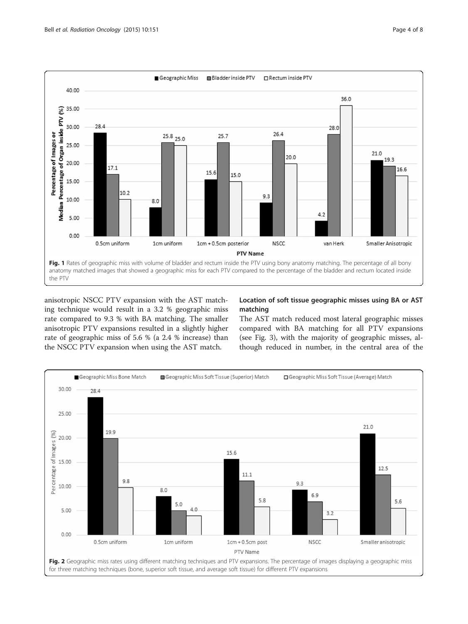<span id="page-3-0"></span>

anisotropic NSCC PTV expansion with the AST matching technique would result in a 3.2 % geographic miss rate compared to 9.3 % with BA matching. The smaller anisotropic PTV expansions resulted in a slightly higher rate of geographic miss of 5.6 % (a 2.4 % increase) than the NSCC PTV expansion when using the AST match.

# Location of soft tissue geographic misses using BA or AST matching

The AST match reduced most lateral geographic misses compared with BA matching for all PTV expansions (see Fig. [3](#page-4-0)), with the majority of geographic misses, although reduced in number, in the central area of the

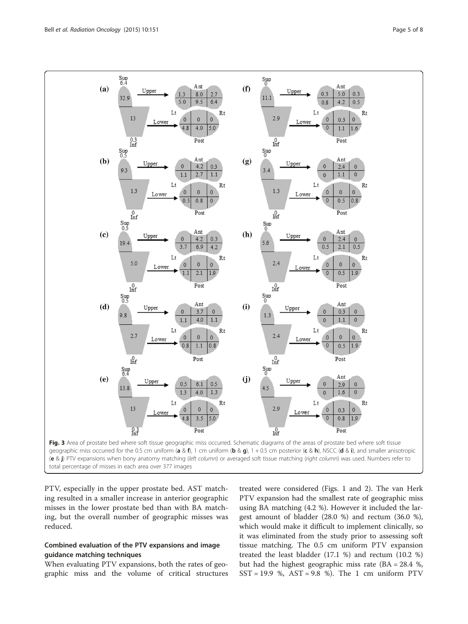<span id="page-4-0"></span>

PTV, especially in the upper prostate bed. AST matching resulted in a smaller increase in anterior geographic misses in the lower prostate bed than with BA matching, but the overall number of geographic misses was reduced.

# Combined evaluation of the PTV expansions and image guidance matching techniques

When evaluating PTV expansions, both the rates of geographic miss and the volume of critical structures

treated were considered (Figs. [1](#page-3-0) and [2](#page-3-0)). The van Herk PTV expansion had the smallest rate of geographic miss using BA matching (4.2 %). However it included the largest amount of bladder (28.0 %) and rectum (36.0 %), which would make it difficult to implement clinically, so it was eliminated from the study prior to assessing soft tissue matching. The 0.5 cm uniform PTV expansion treated the least bladder (17.1 %) and rectum (10.2 %) but had the highest geographic miss rate (BA = 28.4 %,  $SST = 19.9$  %,  $AST = 9.8$  %). The 1 cm uniform PTV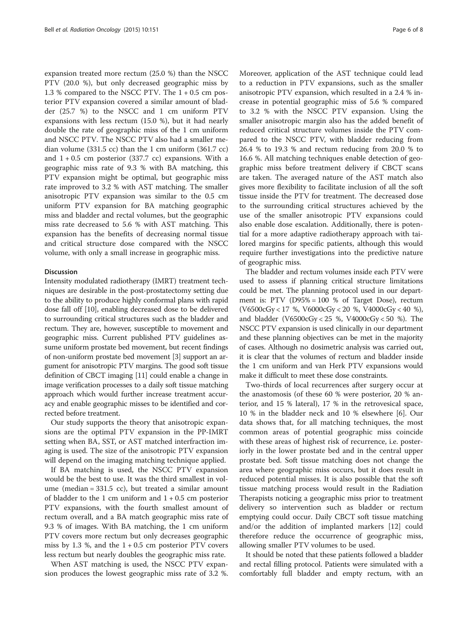expansion treated more rectum (25.0 %) than the NSCC PTV (20.0 %), but only decreased geographic miss by 1.3 % compared to the NSCC PTV. The 1 + 0.5 cm posterior PTV expansion covered a similar amount of bladder (25.7 %) to the NSCC and 1 cm uniform PTV expansions with less rectum (15.0 %), but it had nearly double the rate of geographic miss of the 1 cm uniform and NSCC PTV. The NSCC PTV also had a smaller median volume (331.5 cc) than the 1 cm uniform (361.7 cc) and  $1 + 0.5$  cm posterior (337.7 cc) expansions. With a geographic miss rate of 9.3 % with BA matching, this PTV expansion might be optimal, but geographic miss rate improved to 3.2 % with AST matching. The smaller anisotropic PTV expansion was similar to the 0.5 cm uniform PTV expansion for BA matching geographic miss and bladder and rectal volumes, but the geographic miss rate decreased to 5.6 % with AST matching. This expansion has the benefits of decreasing normal tissue and critical structure dose compared with the NSCC volume, with only a small increase in geographic miss.

#### **Discussion**

Intensity modulated radiotherapy (IMRT) treatment techniques are desirable in the post-prostatectomy setting due to the ability to produce highly conformal plans with rapid dose fall off [[10](#page-7-0)], enabling decreased dose to be delivered to surrounding critical structures such as the bladder and rectum. They are, however, susceptible to movement and geographic miss. Current published PTV guidelines assume uniform prostate bed movement, but recent findings of non-uniform prostate bed movement [\[3](#page-7-0)] support an argument for anisotropic PTV margins. The good soft tissue definition of CBCT imaging [\[11\]](#page-7-0) could enable a change in image verification processes to a daily soft tissue matching approach which would further increase treatment accuracy and enable geographic misses to be identified and corrected before treatment.

Our study supports the theory that anisotropic expansions are the optimal PTV expansion in the PP-IMRT setting when BA, SST, or AST matched interfraction imaging is used. The size of the anisotropic PTV expansion will depend on the imaging matching technique applied.

If BA matching is used, the NSCC PTV expansion would be the best to use. It was the third smallest in volume (median = 331.5 cc), but treated a similar amount of bladder to the 1 cm uniform and  $1 + 0.5$  cm posterior PTV expansions, with the fourth smallest amount of rectum overall, and a BA match geographic miss rate of 9.3 % of images. With BA matching, the 1 cm uniform PTV covers more rectum but only decreases geographic miss by 1.3 %, and the  $1 + 0.5$  cm posterior PTV covers less rectum but nearly doubles the geographic miss rate.

When AST matching is used, the NSCC PTV expansion produces the lowest geographic miss rate of 3.2 %.

Moreover, application of the AST technique could lead to a reduction in PTV expansions, such as the smaller anisotropic PTV expansion, which resulted in a 2.4 % increase in potential geographic miss of 5.6 % compared to 3.2 % with the NSCC PTV expansion. Using the smaller anisotropic margin also has the added benefit of reduced critical structure volumes inside the PTV compared to the NSCC PTV, with bladder reducing from 26.4 % to 19.3 % and rectum reducing from 20.0 % to 16.6 %. All matching techniques enable detection of geographic miss before treatment delivery if CBCT scans are taken. The averaged nature of the AST match also gives more flexibility to facilitate inclusion of all the soft tissue inside the PTV for treatment. The decreased dose to the surrounding critical structures achieved by the use of the smaller anisotropic PTV expansions could also enable dose escalation. Additionally, there is potential for a more adaptive radiotherapy approach with tailored margins for specific patients, although this would require further investigations into the predictive nature of geographic miss.

The bladder and rectum volumes inside each PTV were used to assess if planning critical structure limitations could be met. The planning protocol used in our department is: PTV (D95% = 100 % of Target Dose), rectum (V6500cGy < 17 %, V6000cGy < 20 %, V4000cGy < 40 %), and bladder (V6500cGy < 25 %, V4000cGy < 50 %). The NSCC PTV expansion is used clinically in our department and these planning objectives can be met in the majority of cases. Although no dosimetric analysis was carried out, it is clear that the volumes of rectum and bladder inside the 1 cm uniform and van Herk PTV expansions would make it difficult to meet these dose constraints.

Two-thirds of local recurrences after surgery occur at the anastomosis (of these 60 % were posterior, 20 % anterior, and 15 % lateral), 17 % in the retrovesical space, 10 % in the bladder neck and 10 % elsewhere [[6\]](#page-7-0). Our data shows that, for all matching techniques, the most common areas of potential geographic miss coincide with these areas of highest risk of recurrence, i.e. posteriorly in the lower prostate bed and in the central upper prostate bed. Soft tissue matching does not change the area where geographic miss occurs, but it does result in reduced potential misses. It is also possible that the soft tissue matching process would result in the Radiation Therapists noticing a geographic miss prior to treatment delivery so intervention such as bladder or rectum emptying could occur. Daily CBCT soft tissue matching and/or the addition of implanted markers [\[12](#page-7-0)] could therefore reduce the occurrence of geographic miss, allowing smaller PTV volumes to be used.

It should be noted that these patients followed a bladder and rectal filling protocol. Patients were simulated with a comfortably full bladder and empty rectum, with an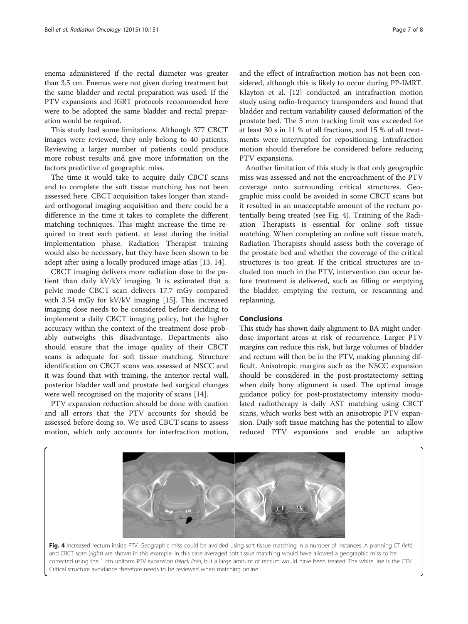enema administered if the rectal diameter was greater than 3.5 cm. Enemas were not given during treatment but the same bladder and rectal preparation was used. If the PTV expansions and IGRT protocols recommended here were to be adopted the same bladder and rectal preparation would be required.

This study had some limitations. Although 377 CBCT images were reviewed, they only belong to 40 patients. Reviewing a larger number of patients could produce more robust results and give more information on the factors predictive of geographic miss.

The time it would take to acquire daily CBCT scans and to complete the soft tissue matching has not been assessed here. CBCT acquisition takes longer than standard orthogonal imaging acquisition and there could be a difference in the time it takes to complete the different matching techniques. This might increase the time required to treat each patient, at least during the initial implementation phase. Radiation Therapist training would also be necessary, but they have been shown to be adept after using a locally produced image atlas [[13](#page-7-0), [14](#page-7-0)].

CBCT imaging delivers more radiation dose to the patient than daily kV/kV imaging. It is estimated that a pelvic mode CBCT scan delivers 17.7 mGy compared with 3.54 mGy for kV/kV imaging [[15](#page-7-0)]. This increased imaging dose needs to be considered before deciding to implement a daily CBCT imaging policy, but the higher accuracy within the context of the treatment dose probably outweighs this disadvantage. Departments also should ensure that the image quality of their CBCT scans is adequate for soft tissue matching. Structure identification on CBCT scans was assessed at NSCC and it was found that with training, the anterior rectal wall, posterior bladder wall and prostate bed surgical changes were well recognised on the majority of scans [[14\]](#page-7-0).

PTV expansion reduction should be done with caution and all errors that the PTV accounts for should be assessed before doing so. We used CBCT scans to assess motion, which only accounts for interfraction motion, and the effect of intrafraction motion has not been considered, although this is likely to occur during PP-IMRT. Klayton et al. [[12\]](#page-7-0) conducted an intrafraction motion study using radio-frequency transponders and found that bladder and rectum variability caused deformation of the prostate bed. The 5 mm tracking limit was exceeded for at least 30 s in 11 % of all fractions, and 15 % of all treatments were interrupted for repositioning. Intrafraction motion should therefore be considered before reducing PTV expansions.

Another limitation of this study is that only geographic miss was assessed and not the encroachment of the PTV coverage onto surrounding critical structures. Geographic miss could be avoided in some CBCT scans but it resulted in an unacceptable amount of the rectum potentially being treated (see Fig. 4). Training of the Radiation Therapists is essential for online soft tissue matching. When completing an online soft tissue match, Radiation Therapists should assess both the coverage of the prostate bed and whether the coverage of the critical structures is too great. If the critical structures are included too much in the PTV, intervention can occur before treatment is delivered, such as filling or emptying the bladder, emptying the rectum, or rescanning and replanning.

### **Conclusions**

This study has shown daily alignment to BA might underdose important areas at risk of recurrence. Larger PTV margins can reduce this risk, but large volumes of bladder and rectum will then be in the PTV, making planning difficult. Anisotropic margins such as the NSCC expansion should be considered in the post-prostatectomy setting when daily bony alignment is used. The optimal image guidance policy for post-prostatectomy intensity modulated radiotherapy is daily AST matching using CBCT scans, which works best with an anisotropic PTV expansion. Daily soft tissue matching has the potential to allow reduced PTV expansions and enable an adaptive